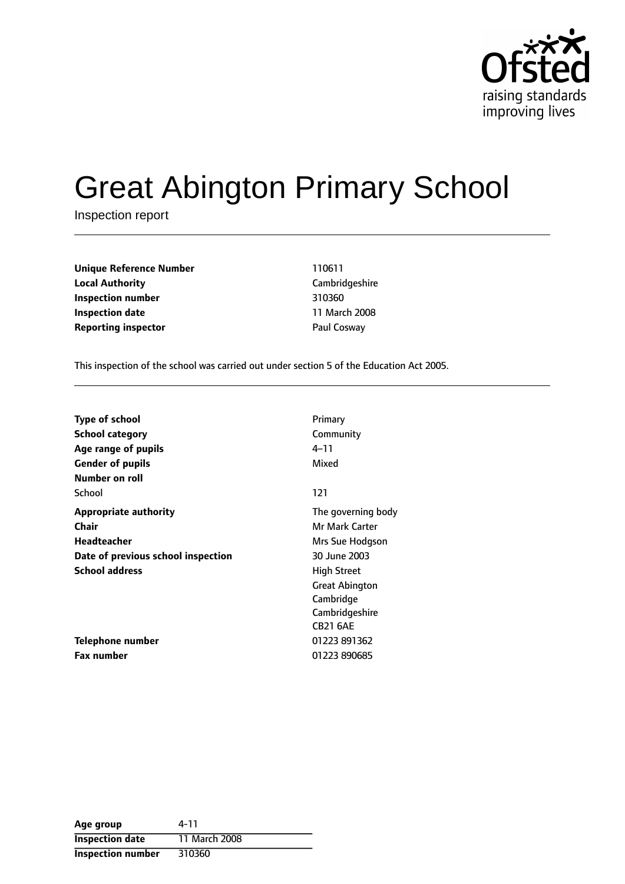

# Great Abington Primary School

Inspection report

| <b>Unique Reference Number</b> | 110611       |
|--------------------------------|--------------|
| <b>Local Authority</b>         | Cambridgesh  |
| Inspection number              | 310360       |
| <b>Inspection date</b>         | 11 March 200 |
| <b>Reporting inspector</b>     | Paul Cosway  |

**Unique Reference Number** 110611 **Local Authority** Cambridgeshire **Inspection number** 310360 **11 March 2008** 

This inspection of the school was carried out under section 5 of the Education Act 2005.

| <b>Type of school</b>              | Primary               |
|------------------------------------|-----------------------|
| School category                    | Community             |
| Age range of pupils                | $4 - 11$              |
| <b>Gender of pupils</b>            | Mixed                 |
| Number on roll                     |                       |
| School                             | 121                   |
| <b>Appropriate authority</b>       | The governing body    |
| <b>Chair</b>                       | Mr Mark Carter        |
| <b>Headteacher</b>                 | Mrs Sue Hodgson       |
| Date of previous school inspection | 30 June 2003          |
| <b>School address</b>              | <b>High Street</b>    |
|                                    | <b>Great Abington</b> |
|                                    | Cambridge             |
|                                    | Cambridgeshire        |
|                                    | <b>CB21 6AE</b>       |
| Telephone number                   | 01223 891362          |
| <b>Fax number</b>                  | 01223 890685          |

| Age group                | 4-11          |
|--------------------------|---------------|
| <b>Inspection date</b>   | 11 March 2008 |
| <b>Inspection number</b> | 310360        |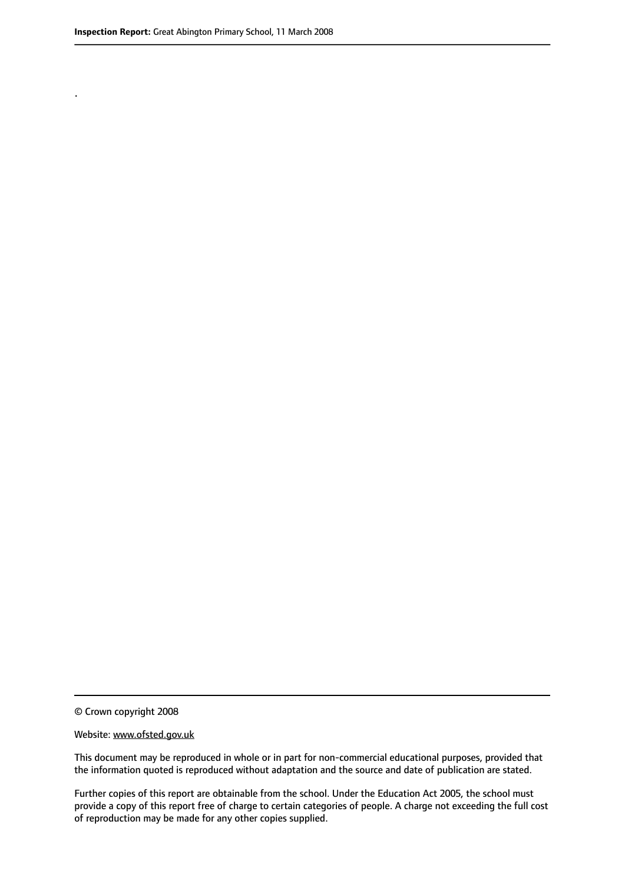.

© Crown copyright 2008

#### Website: www.ofsted.gov.uk

This document may be reproduced in whole or in part for non-commercial educational purposes, provided that the information quoted is reproduced without adaptation and the source and date of publication are stated.

Further copies of this report are obtainable from the school. Under the Education Act 2005, the school must provide a copy of this report free of charge to certain categories of people. A charge not exceeding the full cost of reproduction may be made for any other copies supplied.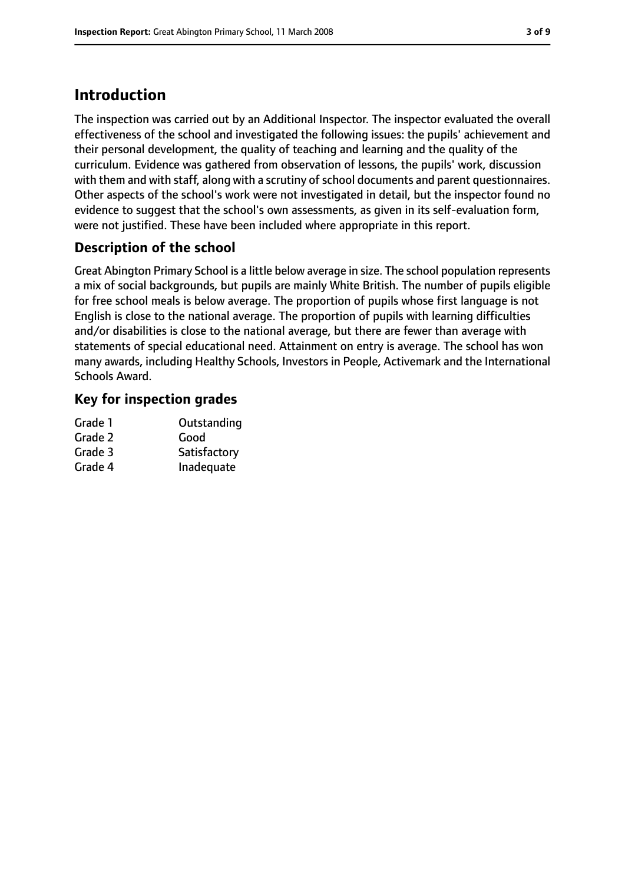# **Introduction**

The inspection was carried out by an Additional Inspector. The inspector evaluated the overall effectiveness of the school and investigated the following issues: the pupils' achievement and their personal development, the quality of teaching and learning and the quality of the curriculum. Evidence was gathered from observation of lessons, the pupils' work, discussion with them and with staff, along with a scrutiny of school documents and parent questionnaires. Other aspects of the school's work were not investigated in detail, but the inspector found no evidence to suggest that the school's own assessments, as given in its self-evaluation form, were not justified. These have been included where appropriate in this report.

## **Description of the school**

Great Abington Primary School is a little below average in size. The school population represents a mix of social backgrounds, but pupils are mainly White British. The number of pupils eligible for free school meals is below average. The proportion of pupils whose first language is not English is close to the national average. The proportion of pupils with learning difficulties and/or disabilities is close to the national average, but there are fewer than average with statements of special educational need. Attainment on entry is average. The school has won many awards, including Healthy Schools, Investors in People, Activemark and the International Schools Award.

### **Key for inspection grades**

| Grade 1 | Outstanding  |
|---------|--------------|
| Grade 2 | Good         |
| Grade 3 | Satisfactory |
| Grade 4 | Inadequate   |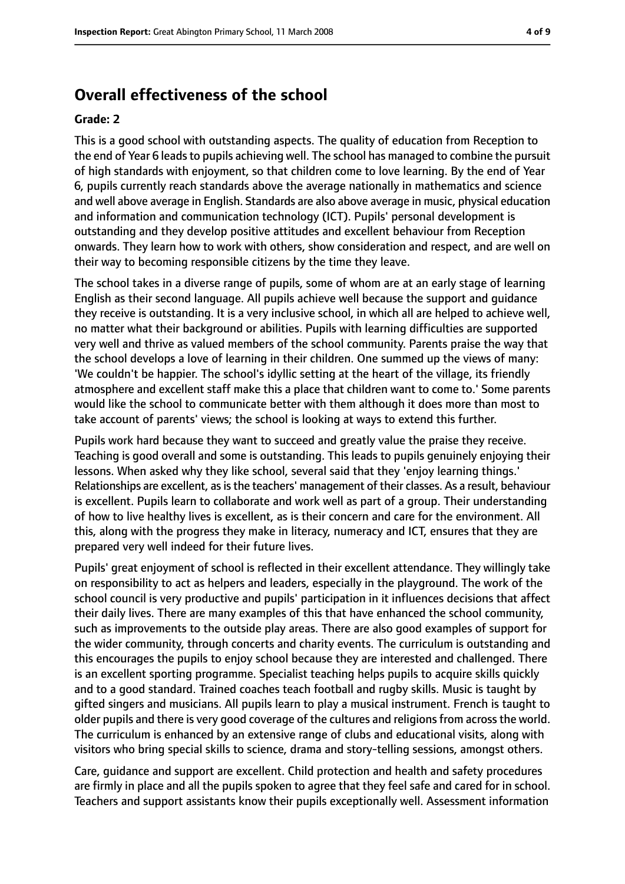## **Overall effectiveness of the school**

#### **Grade: 2**

This is a good school with outstanding aspects. The quality of education from Reception to the end of Year 6 leads to pupils achieving well. The school has managed to combine the pursuit of high standards with enjoyment, so that children come to love learning. By the end of Year 6, pupils currently reach standards above the average nationally in mathematics and science and well above average in English. Standards are also above average in music, physical education and information and communication technology (ICT). Pupils' personal development is outstanding and they develop positive attitudes and excellent behaviour from Reception onwards. They learn how to work with others, show consideration and respect, and are well on their way to becoming responsible citizens by the time they leave.

The school takes in a diverse range of pupils, some of whom are at an early stage of learning English as their second language. All pupils achieve well because the support and guidance they receive is outstanding. It is a very inclusive school, in which all are helped to achieve well, no matter what their background or abilities. Pupils with learning difficulties are supported very well and thrive as valued members of the school community. Parents praise the way that the school develops a love of learning in their children. One summed up the views of many: 'We couldn't be happier. The school's idyllic setting at the heart of the village, its friendly atmosphere and excellent staff make this a place that children want to come to.' Some parents would like the school to communicate better with them although it does more than most to take account of parents' views; the school is looking at ways to extend this further.

Pupils work hard because they want to succeed and greatly value the praise they receive. Teaching is good overall and some is outstanding. This leads to pupils genuinely enjoying their lessons. When asked why they like school, several said that they 'enjoy learning things.' Relationships are excellent, as is the teachers' management of their classes. As a result, behaviour is excellent. Pupils learn to collaborate and work well as part of a group. Their understanding of how to live healthy lives is excellent, as is their concern and care for the environment. All this, along with the progress they make in literacy, numeracy and ICT, ensures that they are prepared very well indeed for their future lives.

Pupils' great enjoyment of school is reflected in their excellent attendance. They willingly take on responsibility to act as helpers and leaders, especially in the playground. The work of the school council is very productive and pupils' participation in it influences decisions that affect their daily lives. There are many examples of this that have enhanced the school community, such as improvements to the outside play areas. There are also good examples of support for the wider community, through concerts and charity events. The curriculum is outstanding and this encourages the pupils to enjoy school because they are interested and challenged. There is an excellent sporting programme. Specialist teaching helps pupils to acquire skills quickly and to a good standard. Trained coaches teach football and rugby skills. Music is taught by gifted singers and musicians. All pupils learn to play a musical instrument. French is taught to older pupils and there is very good coverage of the cultures and religionsfrom acrossthe world. The curriculum is enhanced by an extensive range of clubs and educational visits, along with visitors who bring special skills to science, drama and story-telling sessions, amongst others.

Care, guidance and support are excellent. Child protection and health and safety procedures are firmly in place and all the pupils spoken to agree that they feel safe and cared for in school. Teachers and support assistants know their pupils exceptionally well. Assessment information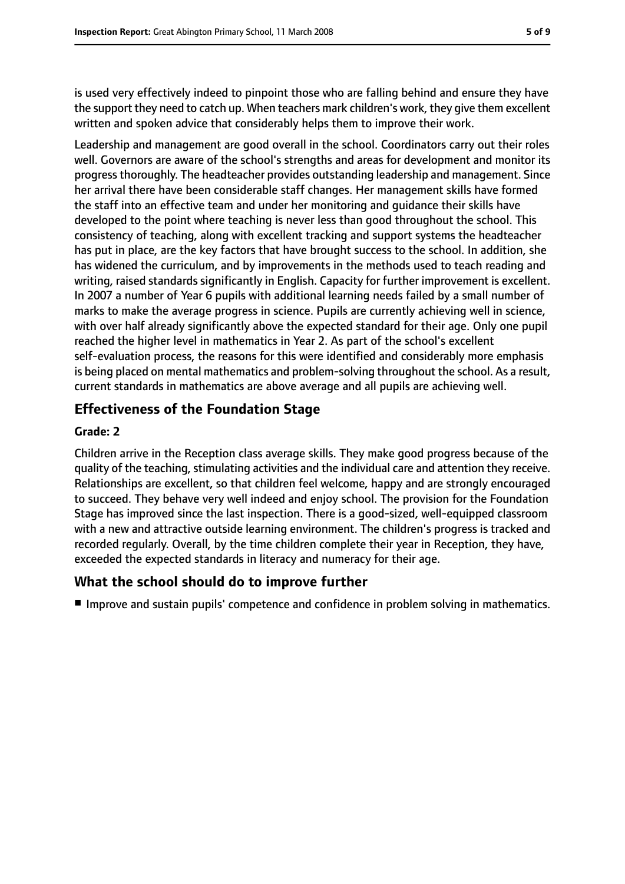is used very effectively indeed to pinpoint those who are falling behind and ensure they have the support they need to catch up. When teachers mark children's work, they give them excellent written and spoken advice that considerably helps them to improve their work.

Leadership and management are good overall in the school. Coordinators carry out their roles well. Governors are aware of the school's strengths and areas for development and monitor its progressthoroughly. The headteacher provides outstanding leadership and management. Since her arrival there have been considerable staff changes. Her management skills have formed the staff into an effective team and under her monitoring and guidance their skills have developed to the point where teaching is never less than good throughout the school. This consistency of teaching, along with excellent tracking and support systems the headteacher has put in place, are the key factors that have brought success to the school. In addition, she has widened the curriculum, and by improvements in the methods used to teach reading and writing, raised standards significantly in English. Capacity for further improvement is excellent. In 2007 a number of Year 6 pupils with additional learning needs failed by a small number of marks to make the average progress in science. Pupils are currently achieving well in science, with over half already significantly above the expected standard for their age. Only one pupil reached the higher level in mathematics in Year 2. As part of the school's excellent self-evaluation process, the reasons for this were identified and considerably more emphasis is being placed on mental mathematics and problem-solving throughout the school. As a result, current standards in mathematics are above average and all pupils are achieving well.

### **Effectiveness of the Foundation Stage**

#### **Grade: 2**

Children arrive in the Reception class average skills. They make good progress because of the quality of the teaching, stimulating activities and the individual care and attention they receive. Relationships are excellent, so that children feel welcome, happy and are strongly encouraged to succeed. They behave very well indeed and enjoy school. The provision for the Foundation Stage has improved since the last inspection. There is a good-sized, well-equipped classroom with a new and attractive outside learning environment. The children's progress is tracked and recorded regularly. Overall, by the time children complete their year in Reception, they have, exceeded the expected standards in literacy and numeracy for their age.

#### **What the school should do to improve further**

■ Improve and sustain pupils' competence and confidence in problem solving in mathematics.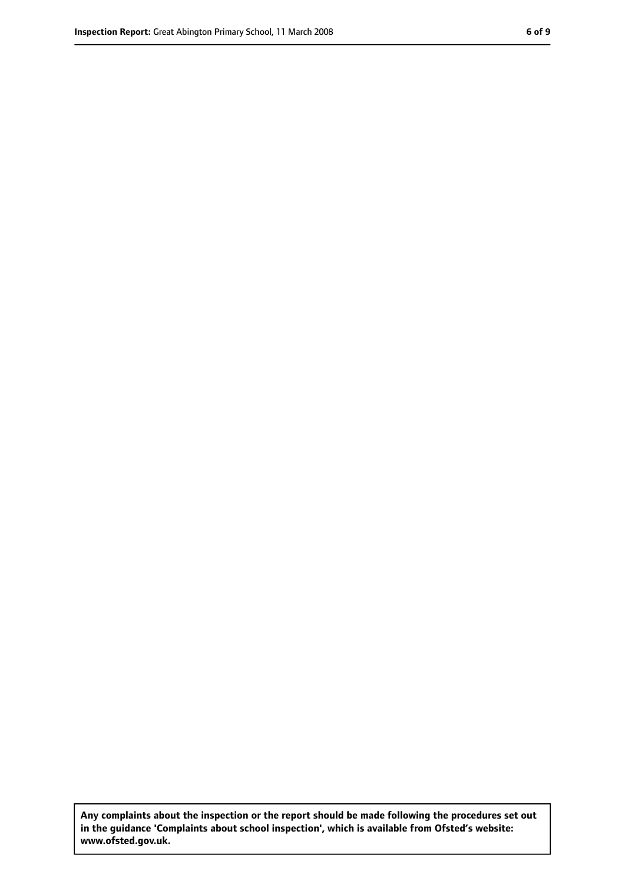**Any complaints about the inspection or the report should be made following the procedures set out in the guidance 'Complaints about school inspection', which is available from Ofsted's website: www.ofsted.gov.uk.**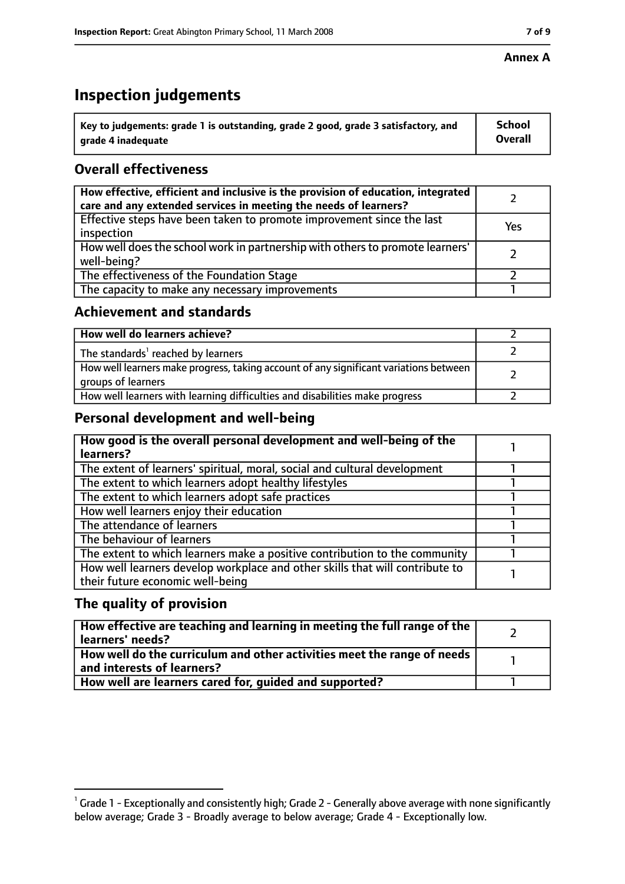#### **Annex A**

# **Inspection judgements**

| $^{\backprime}$ Key to judgements: grade 1 is outstanding, grade 2 good, grade 3 satisfactory, and | <b>School</b>  |
|----------------------------------------------------------------------------------------------------|----------------|
| arade 4 inadequate                                                                                 | <b>Overall</b> |

## **Overall effectiveness**

| How effective, efficient and inclusive is the provision of education, integrated<br>care and any extended services in meeting the needs of learners? |     |
|------------------------------------------------------------------------------------------------------------------------------------------------------|-----|
| Effective steps have been taken to promote improvement since the last<br>inspection                                                                  | Yes |
| How well does the school work in partnership with others to promote learners'<br>well-being?                                                         |     |
| The effectiveness of the Foundation Stage                                                                                                            |     |
| The capacity to make any necessary improvements                                                                                                      |     |

#### **Achievement and standards**

| How well do learners achieve?                                                                               |  |
|-------------------------------------------------------------------------------------------------------------|--|
| The standards <sup>1</sup> reached by learners                                                              |  |
| How well learners make progress, taking account of any significant variations between<br>groups of learners |  |
| How well learners with learning difficulties and disabilities make progress                                 |  |

### **Personal development and well-being**

| How good is the overall personal development and well-being of the<br>learners?                                  |  |
|------------------------------------------------------------------------------------------------------------------|--|
| The extent of learners' spiritual, moral, social and cultural development                                        |  |
| The extent to which learners adopt healthy lifestyles                                                            |  |
| The extent to which learners adopt safe practices                                                                |  |
| How well learners enjoy their education                                                                          |  |
| The attendance of learners                                                                                       |  |
| The behaviour of learners                                                                                        |  |
| The extent to which learners make a positive contribution to the community                                       |  |
| How well learners develop workplace and other skills that will contribute to<br>their future economic well-being |  |

### **The quality of provision**

| How effective are teaching and learning in meeting the full range of the<br>learners' needs?          |  |
|-------------------------------------------------------------------------------------------------------|--|
| How well do the curriculum and other activities meet the range of needs<br>and interests of learners? |  |
| How well are learners cared for, quided and supported?                                                |  |

 $^1$  Grade 1 - Exceptionally and consistently high; Grade 2 - Generally above average with none significantly below average; Grade 3 - Broadly average to below average; Grade 4 - Exceptionally low.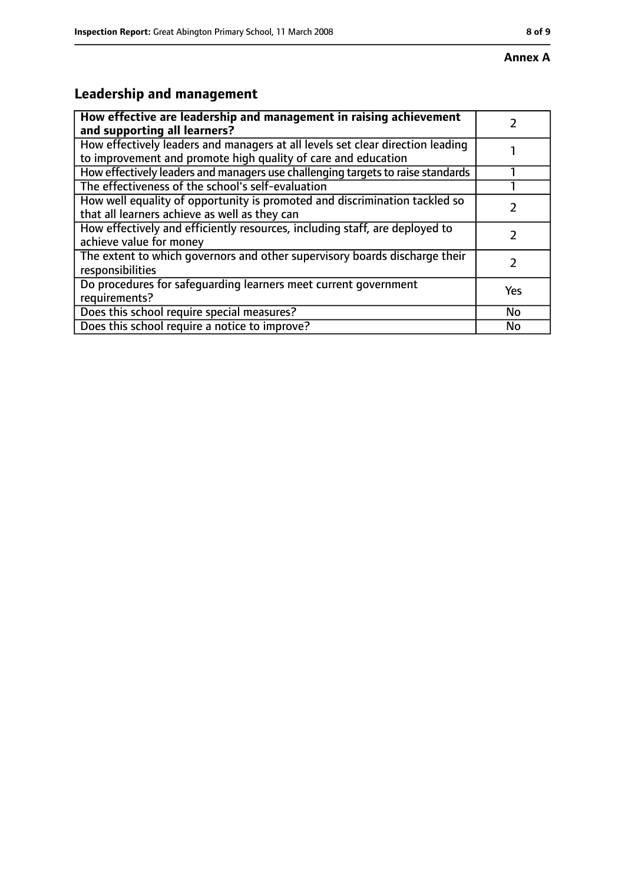# **Leadership and management**

| How effective are leadership and management in raising achievement<br>and supporting all learners?                                              |     |
|-------------------------------------------------------------------------------------------------------------------------------------------------|-----|
| How effectively leaders and managers at all levels set clear direction leading<br>to improvement and promote high quality of care and education |     |
| How effectively leaders and managers use challenging targets to raise standards                                                                 |     |
| The effectiveness of the school's self-evaluation                                                                                               |     |
| How well equality of opportunity is promoted and discrimination tackled so<br>that all learners achieve as well as they can                     |     |
| How effectively and efficiently resources, including staff, are deployed to<br>achieve value for money                                          |     |
| The extent to which governors and other supervisory boards discharge their<br>responsibilities                                                  |     |
| Do procedures for safequarding learners meet current government<br>requirements?                                                                | Yes |
| Does this school require special measures?                                                                                                      | No  |
| Does this school require a notice to improve?                                                                                                   | No  |